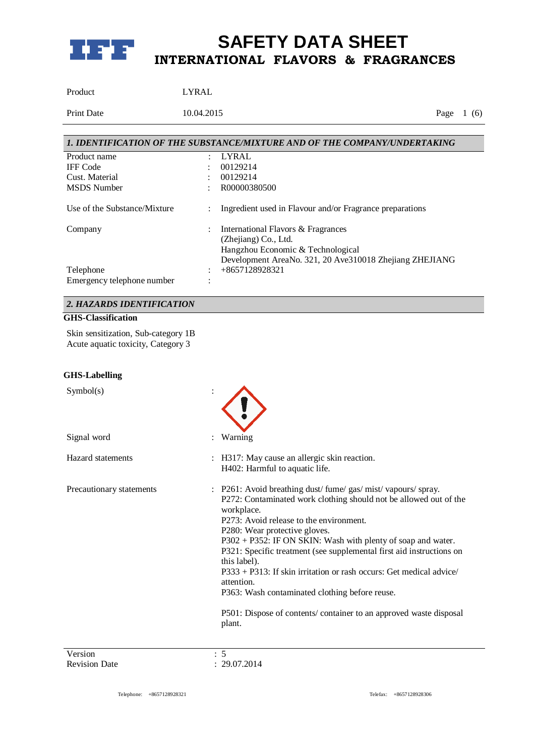

Product LYRAL

Print Date 10.04.2015 Page 1 (6)

| 1. IDENTIFICATION OF THE SUBSTANCE/MIXTURE AND OF THE COMPANY/UNDERTAKING |                |                                                          |  |  |
|---------------------------------------------------------------------------|----------------|----------------------------------------------------------|--|--|
| Product name                                                              | ٠              | LYRAL                                                    |  |  |
| <b>IFF</b> Code                                                           |                | 00129214                                                 |  |  |
| Cust. Material                                                            |                | 00129214                                                 |  |  |
| <b>MSDS</b> Number                                                        |                | R00000380500                                             |  |  |
| Use of the Substance/Mixture                                              | $\ddot{\cdot}$ | Ingredient used in Flavour and/or Fragrance preparations |  |  |
| Company                                                                   |                | International Flavors & Fragrances                       |  |  |
|                                                                           |                | (Zhejiang) Co., Ltd.                                     |  |  |
|                                                                           |                | Hangzhou Economic & Technological                        |  |  |
|                                                                           |                | Development AreaNo. 321, 20 Ave310018 Zhejiang ZHEJIANG  |  |  |
| Telephone                                                                 |                | $+8657128928321$                                         |  |  |
| Emergency telephone number                                                |                |                                                          |  |  |

### *2. HAZARDS IDENTIFICATION*

#### **GHS-Classification**

Skin sensitization, Sub-category 1B Acute aquatic toxicity, Category 3

#### **GHS-Labelling**

| Symbol(s)                |                                                                                                                                                                                                                                                                                                                                                                                                                                                                                                                                                                                                         |
|--------------------------|---------------------------------------------------------------------------------------------------------------------------------------------------------------------------------------------------------------------------------------------------------------------------------------------------------------------------------------------------------------------------------------------------------------------------------------------------------------------------------------------------------------------------------------------------------------------------------------------------------|
| Signal word              | Warning                                                                                                                                                                                                                                                                                                                                                                                                                                                                                                                                                                                                 |
| Hazard statements        | : H317: May cause an allergic skin reaction.<br>H402: Harmful to aquatic life.                                                                                                                                                                                                                                                                                                                                                                                                                                                                                                                          |
| Precautionary statements | : P261: Avoid breathing dust/fume/gas/mist/vapours/spray.<br>P272: Contaminated work clothing should not be allowed out of the<br>workplace.<br>P273: Avoid release to the environment.<br>P280: Wear protective gloves.<br>P302 + P352: IF ON SKIN: Wash with plenty of soap and water.<br>P321: Specific treatment (see supplemental first aid instructions on<br>this label).<br>P333 + P313: If skin irritation or rash occurs: Get medical advice/<br>attention.<br>P363: Wash contaminated clothing before reuse.<br>P501: Dispose of contents/ container to an approved waste disposal<br>plant. |
| <b>TT</b>                |                                                                                                                                                                                                                                                                                                                                                                                                                                                                                                                                                                                                         |

Version : 5<br>Revision Date : 29.07.2014 Revision Date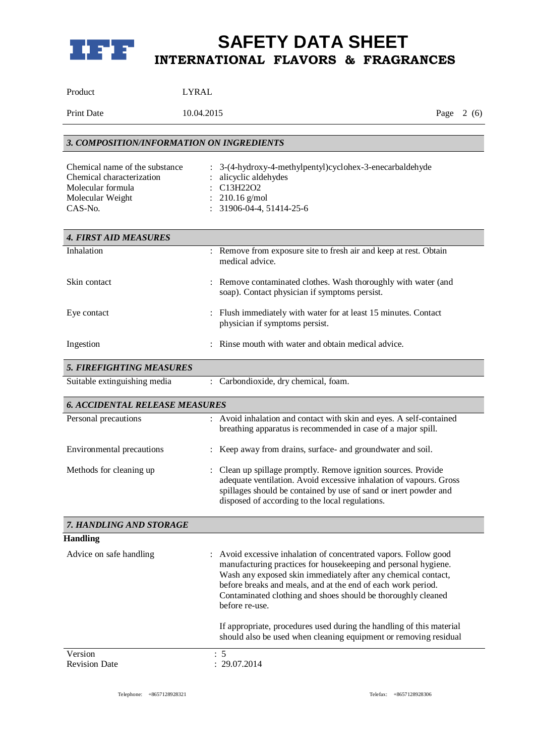

| Product | <b>LYRAL</b> |
|---------|--------------|
|         |              |

Print Date 10.04.2015 Page 2 (6)

| 3. COMPOSITION/INFORMATION ON INGREDIENTS                                                                       |                                                                                                                                                                                                                                                                                                                                                       |  |  |  |
|-----------------------------------------------------------------------------------------------------------------|-------------------------------------------------------------------------------------------------------------------------------------------------------------------------------------------------------------------------------------------------------------------------------------------------------------------------------------------------------|--|--|--|
| Chemical name of the substance<br>Chemical characterization<br>Molecular formula<br>Molecular Weight<br>CAS-No. | 3-(4-hydroxy-4-methylpentyl)cyclohex-3-enecarbaldehyde<br>alicyclic aldehydes<br>C13H22O2<br>$210.16$ g/mol<br>31906-04-4, 51414-25-6                                                                                                                                                                                                                 |  |  |  |
| <b>4. FIRST AID MEASURES</b>                                                                                    |                                                                                                                                                                                                                                                                                                                                                       |  |  |  |
| Inhalation                                                                                                      | : Remove from exposure site to fresh air and keep at rest. Obtain<br>medical advice.                                                                                                                                                                                                                                                                  |  |  |  |
| Skin contact                                                                                                    | : Remove contaminated clothes. Wash thoroughly with water (and<br>soap). Contact physician if symptoms persist.                                                                                                                                                                                                                                       |  |  |  |
| Eye contact                                                                                                     | : Flush immediately with water for at least 15 minutes. Contact<br>physician if symptoms persist.                                                                                                                                                                                                                                                     |  |  |  |
| Ingestion                                                                                                       | Rinse mouth with water and obtain medical advice.                                                                                                                                                                                                                                                                                                     |  |  |  |
| <b>5. FIREFIGHTING MEASURES</b>                                                                                 |                                                                                                                                                                                                                                                                                                                                                       |  |  |  |
| Suitable extinguishing media                                                                                    | : Carbondioxide, dry chemical, foam.                                                                                                                                                                                                                                                                                                                  |  |  |  |
| <b>6. ACCIDENTAL RELEASE MEASURES</b>                                                                           |                                                                                                                                                                                                                                                                                                                                                       |  |  |  |
| Personal precautions                                                                                            | : Avoid inhalation and contact with skin and eyes. A self-contained<br>breathing apparatus is recommended in case of a major spill.                                                                                                                                                                                                                   |  |  |  |
| <b>Environmental precautions</b>                                                                                | Keep away from drains, surface- and groundwater and soil.                                                                                                                                                                                                                                                                                             |  |  |  |
| Methods for cleaning up                                                                                         | Clean up spillage promptly. Remove ignition sources. Provide<br>adequate ventilation. Avoid excessive inhalation of vapours. Gross<br>spillages should be contained by use of sand or inert powder and<br>disposed of according to the local regulations.                                                                                             |  |  |  |
| 7. HANDLING AND STORAGE                                                                                         |                                                                                                                                                                                                                                                                                                                                                       |  |  |  |
| <b>Handling</b>                                                                                                 |                                                                                                                                                                                                                                                                                                                                                       |  |  |  |
| Advice on safe handling                                                                                         | : Avoid excessive inhalation of concentrated vapors. Follow good<br>manufacturing practices for housekeeping and personal hygiene.<br>Wash any exposed skin immediately after any chemical contact,<br>before breaks and meals, and at the end of each work period.<br>Contaminated clothing and shoes should be thoroughly cleaned<br>before re-use. |  |  |  |
|                                                                                                                 | If appropriate, procedures used during the handling of this material<br>should also be used when cleaning equipment or removing residual                                                                                                                                                                                                              |  |  |  |
| Version<br><b>Revision Date</b>                                                                                 | $\therefore$ 5<br>: 29.07.2014                                                                                                                                                                                                                                                                                                                        |  |  |  |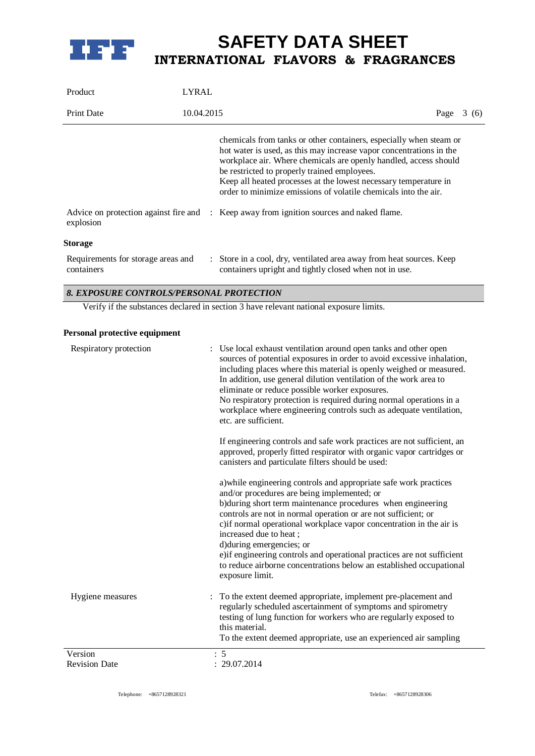

| Product                                          | LYRAL |                                                                                                                                                                                                                                                                                                                                                                                                      |  |             |  |  |
|--------------------------------------------------|-------|------------------------------------------------------------------------------------------------------------------------------------------------------------------------------------------------------------------------------------------------------------------------------------------------------------------------------------------------------------------------------------------------------|--|-------------|--|--|
| <b>Print Date</b>                                |       | 10.04.2015                                                                                                                                                                                                                                                                                                                                                                                           |  | Page $3(6)$ |  |  |
|                                                  |       | chemicals from tanks or other containers, especially when steam or<br>hot water is used, as this may increase vapor concentrations in the<br>workplace air. Where chemicals are openly handled, access should<br>be restricted to properly trained employees.<br>Keep all heated processes at the lowest necessary temperature in<br>order to minimize emissions of volatile chemicals into the air. |  |             |  |  |
| explosion                                        |       | Advice on protection against fire and : Keep away from ignition sources and naked flame.                                                                                                                                                                                                                                                                                                             |  |             |  |  |
| Storage                                          |       |                                                                                                                                                                                                                                                                                                                                                                                                      |  |             |  |  |
| Requirements for storage areas and<br>containers |       | : Store in a cool, dry, ventilated area away from heat sources. Keep<br>containers upright and tightly closed when not in use.                                                                                                                                                                                                                                                                       |  |             |  |  |

#### *8. EXPOSURE CONTROLS/PERSONAL PROTECTION*

Verify if the substances declared in section 3 have relevant national exposure limits.

#### **Personal protective equipment**

| b) during short term maintenance procedures when engineering<br>controls are not in normal operation or are not sufficient; or<br>c) if normal operational workplace vapor concentration in the air is<br>increased due to heat;<br>d)during emergencies; or<br>exposure limit.<br>To the extent deemed appropriate, implement pre-placement and<br>Hygiene measures<br>regularly scheduled ascertainment of symptoms and spirometry<br>testing of lung function for workers who are regularly exposed to<br>this material.<br>To the extent deemed appropriate, use an experienced air sampling | Respiratory protection | : Use local exhaust ventilation around open tanks and other open<br>sources of potential exposures in order to avoid excessive inhalation,<br>including places where this material is openly weighed or measured.<br>In addition, use general dilution ventilation of the work area to<br>eliminate or reduce possible worker exposures.<br>No respiratory protection is required during normal operations in a<br>workplace where engineering controls such as adequate ventilation,<br>etc. are sufficient.<br>If engineering controls and safe work practices are not sufficient, an<br>approved, properly fitted respirator with organic vapor cartridges or<br>canisters and particulate filters should be used:<br>a) while engineering controls and appropriate safe work practices |
|--------------------------------------------------------------------------------------------------------------------------------------------------------------------------------------------------------------------------------------------------------------------------------------------------------------------------------------------------------------------------------------------------------------------------------------------------------------------------------------------------------------------------------------------------------------------------------------------------|------------------------|--------------------------------------------------------------------------------------------------------------------------------------------------------------------------------------------------------------------------------------------------------------------------------------------------------------------------------------------------------------------------------------------------------------------------------------------------------------------------------------------------------------------------------------------------------------------------------------------------------------------------------------------------------------------------------------------------------------------------------------------------------------------------------------------|
|                                                                                                                                                                                                                                                                                                                                                                                                                                                                                                                                                                                                  |                        | and/or procedures are being implemented; or<br>e) if engineering controls and operational practices are not sufficient<br>to reduce airborne concentrations below an established occupational                                                                                                                                                                                                                                                                                                                                                                                                                                                                                                                                                                                              |
|                                                                                                                                                                                                                                                                                                                                                                                                                                                                                                                                                                                                  |                        |                                                                                                                                                                                                                                                                                                                                                                                                                                                                                                                                                                                                                                                                                                                                                                                            |
| : 29.07.2014<br><b>Revision Date</b>                                                                                                                                                                                                                                                                                                                                                                                                                                                                                                                                                             | Version                | : 5                                                                                                                                                                                                                                                                                                                                                                                                                                                                                                                                                                                                                                                                                                                                                                                        |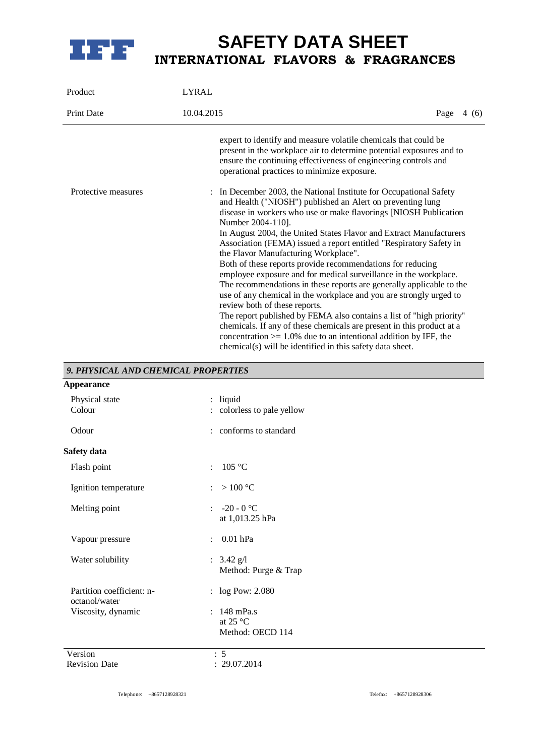

| Product             | <b>LYRAL</b>                                                                                                                                                                                                                                                                                                                                                                                                                                                                                                                                                                                                                                                                                                                                                                                                                                                                                                                                                                                                         |             |  |
|---------------------|----------------------------------------------------------------------------------------------------------------------------------------------------------------------------------------------------------------------------------------------------------------------------------------------------------------------------------------------------------------------------------------------------------------------------------------------------------------------------------------------------------------------------------------------------------------------------------------------------------------------------------------------------------------------------------------------------------------------------------------------------------------------------------------------------------------------------------------------------------------------------------------------------------------------------------------------------------------------------------------------------------------------|-------------|--|
| <b>Print Date</b>   | 10.04.2015                                                                                                                                                                                                                                                                                                                                                                                                                                                                                                                                                                                                                                                                                                                                                                                                                                                                                                                                                                                                           | Page $4(6)$ |  |
|                     | expert to identify and measure volatile chemicals that could be<br>present in the workplace air to determine potential exposures and to<br>ensure the continuing effectiveness of engineering controls and<br>operational practices to minimize exposure.                                                                                                                                                                                                                                                                                                                                                                                                                                                                                                                                                                                                                                                                                                                                                            |             |  |
| Protective measures | : In December 2003, the National Institute for Occupational Safety<br>and Health ("NIOSH") published an Alert on preventing lung<br>disease in workers who use or make flavorings [NIOSH Publication<br>Number 2004-110].<br>In August 2004, the United States Flavor and Extract Manufacturers<br>Association (FEMA) issued a report entitled "Respiratory Safety in<br>the Flavor Manufacturing Workplace".<br>Both of these reports provide recommendations for reducing<br>employee exposure and for medical surveillance in the workplace.<br>The recommendations in these reports are generally applicable to the<br>use of any chemical in the workplace and you are strongly urged to<br>review both of these reports.<br>The report published by FEMA also contains a list of "high priority"<br>chemicals. If any of these chemicals are present in this product at a<br>concentration $> = 1.0\%$ due to an intentional addition by IFF, the<br>chemical(s) will be identified in this safety data sheet. |             |  |

### *9. PHYSICAL AND CHEMICAL PROPERTIES*

| <b>Appearance</b>                          |                                                            |  |
|--------------------------------------------|------------------------------------------------------------|--|
| Physical state<br>Colour                   | liquid<br>$\ddot{\phantom{a}}$<br>colorless to pale yellow |  |
| Odour                                      | : conforms to standard                                     |  |
| Safety data                                |                                                            |  |
| Flash point                                | 105 °C<br>$\mathbf{r}$                                     |  |
| Ignition temperature                       | $>100\ ^{\circ}\textrm{C}$<br>$\ddot{\phantom{a}}$         |  |
| Melting point                              | -20 - 0 $^{\circ}$ C<br>$\ddot{\cdot}$<br>at 1,013.25 hPa  |  |
| Vapour pressure                            | $0.01$ hPa<br>÷                                            |  |
| Water solubility                           | : $3.42 \text{ g}/1$<br>Method: Purge & Trap               |  |
| Partition coefficient: n-<br>octanol/water | : log Pow: 2.080                                           |  |
| Viscosity, dynamic                         | 148 mPa.s<br>$\bullet$<br>at 25 °C<br>Method: OECD 114     |  |
| Version                                    | : 5                                                        |  |
| <b>Revision Date</b>                       | : 29.07.2014                                               |  |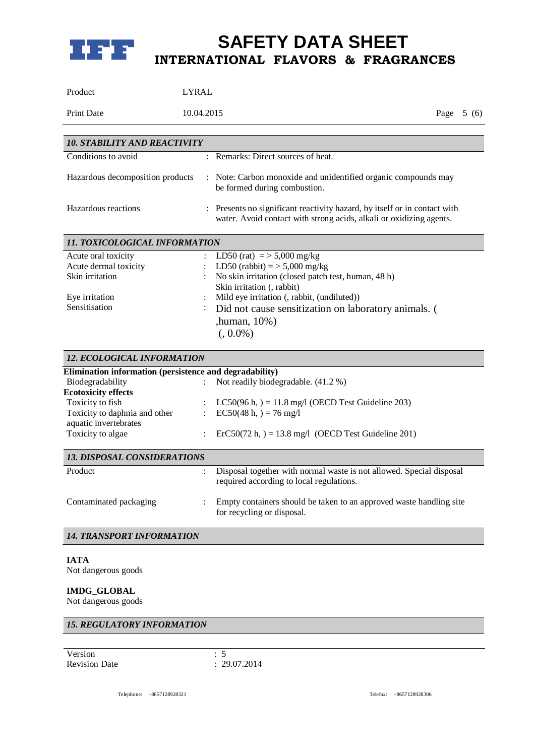

| Product                                                                                                                                                                                                      | <b>LYRAL</b>                                                                                                                                                                                                                                                                              |
|--------------------------------------------------------------------------------------------------------------------------------------------------------------------------------------------------------------|-------------------------------------------------------------------------------------------------------------------------------------------------------------------------------------------------------------------------------------------------------------------------------------------|
| <b>Print Date</b>                                                                                                                                                                                            | 10.04.2015<br>Page $5(6)$                                                                                                                                                                                                                                                                 |
| <b>10. STABILITY AND REACTIVITY</b>                                                                                                                                                                          |                                                                                                                                                                                                                                                                                           |
| Conditions to avoid                                                                                                                                                                                          | : Remarks: Direct sources of heat.                                                                                                                                                                                                                                                        |
| Hazardous decomposition products                                                                                                                                                                             | : Note: Carbon monoxide and unidentified organic compounds may<br>be formed during combustion.                                                                                                                                                                                            |
| Hazardous reactions                                                                                                                                                                                          | : Presents no significant reactivity hazard, by itself or in contact with<br>water. Avoid contact with strong acids, alkali or oxidizing agents.                                                                                                                                          |
| 11. TOXICOLOGICAL INFORMATION                                                                                                                                                                                |                                                                                                                                                                                                                                                                                           |
| Acute oral toxicity<br>Acute dermal toxicity<br>Skin irritation<br>Eye irritation<br>Sensitisation                                                                                                           | LD50 (rat) = $>$ 5,000 mg/kg<br>LD50 (rabbit) = $>$ 5,000 mg/kg<br>No skin irritation (closed patch test, human, 48 h)<br>Skin irritation (, rabbit)<br>Mild eye irritation (, rabbit, (undiluted))<br>Did not cause sensitization on laboratory animals. (<br>,human, 10%)<br>$(.0.0\%)$ |
| 12. ECOLOGICAL INFORMATION                                                                                                                                                                                   |                                                                                                                                                                                                                                                                                           |
| Elimination information (persistence and degradability)<br>Biodegradability<br><b>Ecotoxicity effects</b><br>Toxicity to fish<br>Toxicity to daphnia and other<br>aquatic invertebrates<br>Toxicity to algae | Not readily biodegradable. (41.2 %)<br>LC50(96 h, $) = 11.8$ mg/l (OECD Test Guideline 203)<br>$EC50(48 h, ) = 76 mg/l$<br>$\ddot{\cdot}$<br>$\text{ErC50}(72 \text{ h},) = 13.8 \text{ mg/l}$ (OECD Test Guideline 201)                                                                  |
| <b>13. DISPOSAL CONSIDERATIONS</b>                                                                                                                                                                           |                                                                                                                                                                                                                                                                                           |
| Product                                                                                                                                                                                                      | Disposal together with normal waste is not allowed. Special disposal<br>required according to local regulations.                                                                                                                                                                          |
| Contaminated packaging                                                                                                                                                                                       | Empty containers should be taken to an approved waste handling site<br>for recycling or disposal.                                                                                                                                                                                         |
| <b>14. TRANSPORT INFORMATION</b>                                                                                                                                                                             |                                                                                                                                                                                                                                                                                           |
| <b>IATA</b><br>Not dangerous goods<br><b>IMDG_GLOBAL</b><br>Not dangerous goods                                                                                                                              |                                                                                                                                                                                                                                                                                           |
| <b>15. REGULATORY INFORMATION</b>                                                                                                                                                                            |                                                                                                                                                                                                                                                                                           |
|                                                                                                                                                                                                              |                                                                                                                                                                                                                                                                                           |
| Version<br><b>Revision Date</b>                                                                                                                                                                              | : 5<br>: 29.07.2014                                                                                                                                                                                                                                                                       |